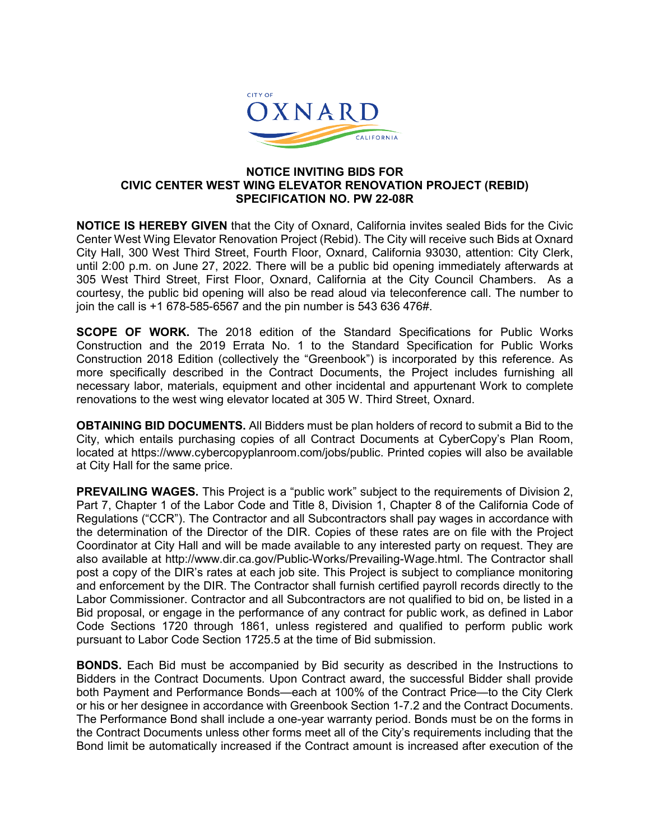

## **NOTICE INVITING BIDS FOR CIVIC CENTER WEST WING ELEVATOR RENOVATION PROJECT (REBID) SPECIFICATION NO. PW 22-08R**

**NOTICE IS HEREBY GIVEN** that the City of Oxnard, California invites sealed Bids for the Civic Center West Wing Elevator Renovation Project (Rebid). The City will receive such Bids at Oxnard City Hall, 300 West Third Street, Fourth Floor, Oxnard, California 93030, attention: City Clerk, until 2:00 p.m. on June 27, 2022. There will be a public bid opening immediately afterwards at 305 West Third Street, First Floor, Oxnard, California at the City Council Chambers. As a courtesy, the public bid opening will also be read aloud via teleconference call. The number to join the call is +1 678-585-6567 and the pin number is 543 636 476#.

**SCOPE OF WORK.** The 2018 edition of the Standard Specifications for Public Works Construction and the 2019 Errata No. 1 to the Standard Specification for Public Works Construction 2018 Edition (collectively the "Greenbook") is incorporated by this reference. As more specifically described in the Contract Documents, the Project includes furnishing all necessary labor, materials, equipment and other incidental and appurtenant Work to complete renovations to the west wing elevator located at 305 W. Third Street, Oxnard.

**OBTAINING BID DOCUMENTS.** All Bidders must be plan holders of record to submit a Bid to the City, which entails purchasing copies of all Contract Documents at CyberCopy's Plan Room, located at https://www.cybercopyplanroom.com/jobs/public. Printed copies will also be available at City Hall for the same price.

**PREVAILING WAGES.** This Project is a "public work" subject to the requirements of Division 2, Part 7, Chapter 1 of the Labor Code and Title 8, Division 1, Chapter 8 of the California Code of Regulations ("CCR"). The Contractor and all Subcontractors shall pay wages in accordance with the determination of the Director of the DIR. Copies of these rates are on file with the Project Coordinator at City Hall and will be made available to any interested party on request. They are also available at http://www.dir.ca.gov/Public-Works/Prevailing-Wage.html. The Contractor shall post a copy of the DIR's rates at each job site. This Project is subject to compliance monitoring and enforcement by the DIR. The Contractor shall furnish certified payroll records directly to the Labor Commissioner. Contractor and all Subcontractors are not qualified to bid on, be listed in a Bid proposal, or engage in the performance of any contract for public work, as defined in Labor Code Sections 1720 through 1861, unless registered and qualified to perform public work pursuant to Labor Code Section 1725.5 at the time of Bid submission.

**BONDS.** Each Bid must be accompanied by Bid security as described in the Instructions to Bidders in the Contract Documents. Upon Contract award, the successful Bidder shall provide both Payment and Performance Bonds—each at 100% of the Contract Price—to the City Clerk or his or her designee in accordance with Greenbook Section 1-7.2 and the Contract Documents. The Performance Bond shall include a one-year warranty period. Bonds must be on the forms in the Contract Documents unless other forms meet all of the City's requirements including that the Bond limit be automatically increased if the Contract amount is increased after execution of the